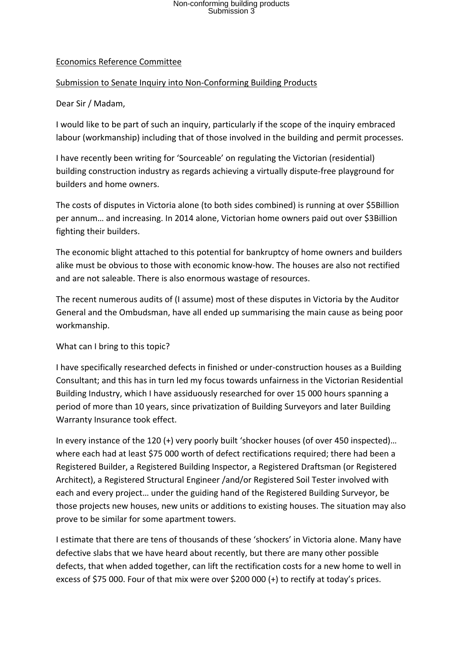## Non-conforming building products Submission 3

### Economics Reference Committee

#### Submission to Senate Inquiry into Non-Conforming Building Products

Dear Sir / Madam,

I would like to be part of such an inquiry, particularly if the scope of the inquiry embraced labour (workmanship) including that of those involved in the building and permit processes.

I have recently been writing for 'Sourceable' on regulating the Victorian (residential) building construction industry as regards achieving a virtually dispute-free playground for builders and home owners.

The costs of disputes in Victoria alone (to both sides combined) is running at over \$5Billion per annum… and increasing. In 2014 alone, Victorian home owners paid out over \$3Billion fighting their builders.

The economic blight attached to this potential for bankruptcy of home owners and builders alike must be obvious to those with economic know-how. The houses are also not rectified and are not saleable. There is also enormous wastage of resources.

The recent numerous audits of (I assume) most of these disputes in Victoria by the Auditor General and the Ombudsman, have all ended up summarising the main cause as being poor workmanship.

What can I bring to this topic?

I have specifically researched defects in finished or under-construction houses as a Building Consultant; and this has in turn led my focus towards unfairness in the Victorian Residential Building Industry, which I have assiduously researched for over 15 000 hours spanning a period of more than 10 years, since privatization of Building Surveyors and later Building Warranty Insurance took effect.

In every instance of the 120 (+) very poorly built 'shocker houses (of over 450 inspected)… where each had at least \$75 000 worth of defect rectifications required; there had been a Registered Builder, a Registered Building Inspector, a Registered Draftsman (or Registered Architect), a Registered Structural Engineer /and/or Registered Soil Tester involved with each and every project… under the guiding hand of the Registered Building Surveyor, be those projects new houses, new units or additions to existing houses. The situation may also prove to be similar for some apartment towers.

I estimate that there are tens of thousands of these 'shockers' in Victoria alone. Many have defective slabs that we have heard about recently, but there are many other possible defects, that when added together, can lift the rectification costs for a new home to well in excess of \$75 000. Four of that mix were over \$200 000 (+) to rectify at today's prices.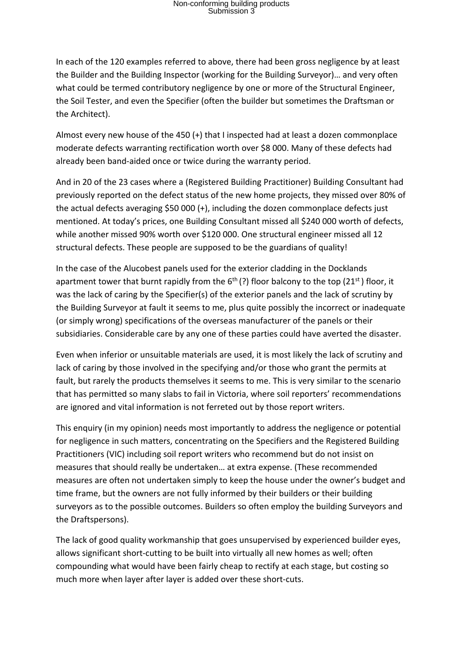## Non-conforming building products Submission 3

In each of the 120 examples referred to above, there had been gross negligence by at least the Builder and the Building Inspector (working for the Building Surveyor)… and very often what could be termed contributory negligence by one or more of the Structural Engineer, the Soil Tester, and even the Specifier (often the builder but sometimes the Draftsman or the Architect).

Almost every new house of the 450 (+) that I inspected had at least a dozen commonplace moderate defects warranting rectification worth over \$8 000. Many of these defects had already been band-aided once or twice during the warranty period.

And in 20 of the 23 cases where a (Registered Building Practitioner) Building Consultant had previously reported on the defect status of the new home projects, they missed over 80% of the actual defects averaging \$50 000 (+), including the dozen commonplace defects just mentioned. At today's prices, one Building Consultant missed all \$240 000 worth of defects, while another missed 90% worth over \$120 000. One structural engineer missed all 12 structural defects. These people are supposed to be the guardians of quality!

In the case of the Alucobest panels used for the exterior cladding in the Docklands apartment tower that burnt rapidly from the  $6<sup>th</sup>$  (?) floor balcony to the top (21<sup>st</sup>) floor, it was the lack of caring by the Specifier(s) of the exterior panels and the lack of scrutiny by the Building Surveyor at fault it seems to me, plus quite possibly the incorrect or inadequate (or simply wrong) specifications of the overseas manufacturer of the panels or their subsidiaries. Considerable care by any one of these parties could have averted the disaster.

Even when inferior or unsuitable materials are used, it is most likely the lack of scrutiny and lack of caring by those involved in the specifying and/or those who grant the permits at fault, but rarely the products themselves it seems to me. This is very similar to the scenario that has permitted so many slabs to fail in Victoria, where soil reporters' recommendations are ignored and vital information is not ferreted out by those report writers.

This enquiry (in my opinion) needs most importantly to address the negligence or potential for negligence in such matters, concentrating on the Specifiers and the Registered Building Practitioners (VIC) including soil report writers who recommend but do not insist on measures that should really be undertaken… at extra expense. (These recommended measures are often not undertaken simply to keep the house under the owner's budget and time frame, but the owners are not fully informed by their builders or their building surveyors as to the possible outcomes. Builders so often employ the building Surveyors and the Draftspersons).

The lack of good quality workmanship that goes unsupervised by experienced builder eyes, allows significant short-cutting to be built into virtually all new homes as well; often compounding what would have been fairly cheap to rectify at each stage, but costing so much more when layer after layer is added over these short-cuts.